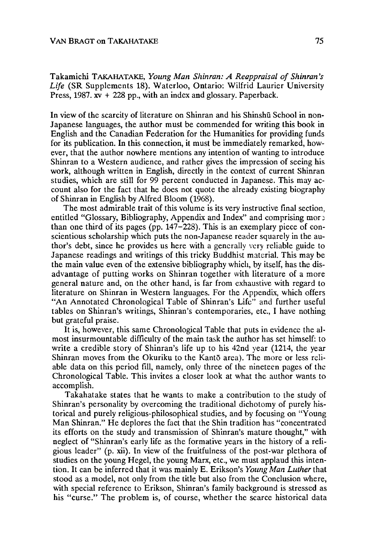Takamichi TAKAHATAKE, *Young Man Shinran: A Reappraisal of Shinran's Life* (SR Supplements 18). Waterloo, Ontario: Wilfrid Laurier University Press,  $1987. xv + 228$  pp., with an index and glossary. Paperback.

In view of the scarcity of literature on Shinran and his Shinshu School in non-Japanese languages, the author must be commended for writing this book in English and the Canadian Federation for the Humanities for providing funds for its publication. In this connection, it must be immediately remarked, however, that the author nowhere mentions any intention of wanting to introduce Shinran to a Western audience, and rather gives the impression of seeing his work, although written in English, directly in the context of current Shinran studies, which are still for 99 percent conducted in Japanese. This may account also for the fact that he does not quote the already existing biography of Shinran in English by Alfred Bloom (1968).

The most admirable trait of this volume is its very instructive final section, entitled "Glossary, Bibliography, Appendix and Index" and comprising more than one third of its pages (pp.  $147-228$ ). This is an exemplary piece of conscientious scholarship which puts the non-Japanese reader squarely in the author's debt, since he provides us here with a generally very reliable guide to Japanese readings and writings of this tricky Buddhist material. This may be the main value even of the extensive bibliography which, by itself, has the disadvantage of putting works on Shinran together with literature of a more general nature and, on the other hand, is far from exhaustive with regard to literature on Shinran in Western languages. For the Appendix, which offers "An Annotated Chronological Table of Shinran's Life" and further useful tables on Shinran's writings, Shinran's contemporaries, etc., I have nothing but grateful praise.

It is, however, this same Chronological Table that puts in evidence the almost insurmountable difficulty of the main task the author has set himself: to write a credible story of Shinran's life up to his 42nd year (1214, the year Shinran moves from the Okuriku to the Kantō area). The more or less reliable data on this period fill, namely, only three of the nineteen pages of the Chronological Table. This invites a closer look at what the author wants to accomplish.

Takahatake states that he wants to make a contribution to the study of Shinran's personality by overcoming the traditional dichotomy of purely historical and purely religious-philosophical studies, and by focusing on "Young Man Shinran." He deplores the fact that the Shin tradition has "concentrated its efforts on the study and transmission of Shinran's mature thought," with neglect of "Shinran's early life as the formative years in the history of a religious leader" (p. xii). In view of the fruitfulness of the post-war plethora of studies on the young Hegel, the young Marx, etc., we must applaud this intention. It can be inferred that it was mainly E. Erikson's *Young Man Luther* that stood as a model, not only from the title but also from the Conclusion where, with special reference to Erikson, Shinran's family background is stressed as his "curse," The problem is, of course, whether the scarce historical data